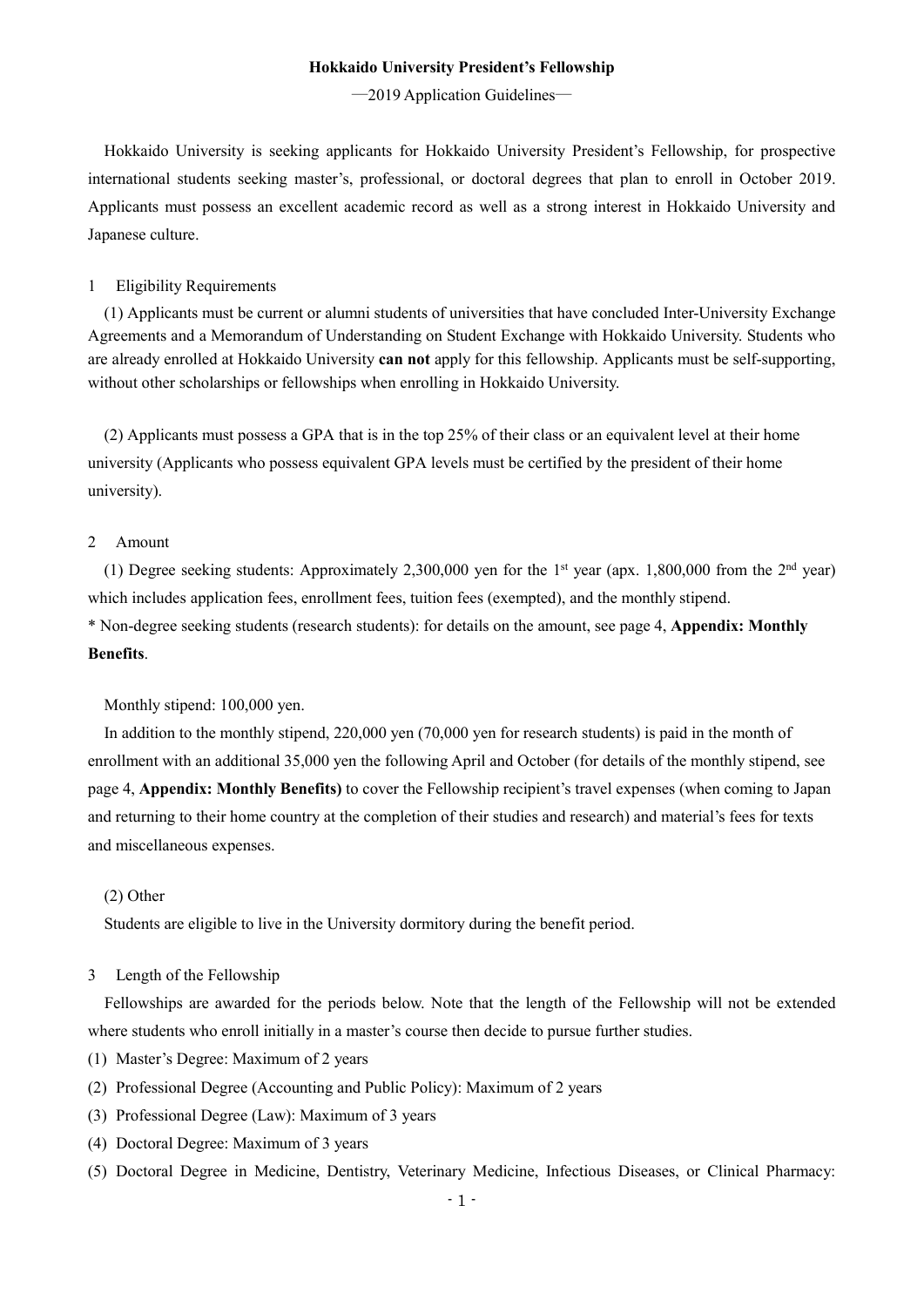#### **Hokkaido University President's Fellowship**

―2019 Application Guidelines―

Hokkaido University is seeking applicants for Hokkaido University President's Fellowship, for prospective international students seeking master's, professional, or doctoral degrees that plan to enroll in October 2019. Applicants must possess an excellent academic record as well as a strong interest in Hokkaido University and Japanese culture.

#### 1 Eligibility Requirements

(1) Applicants must be current or alumni students of universities that have concluded Inter-University Exchange Agreements and a Memorandum of Understanding on Student Exchange with Hokkaido University. Students who are already enrolled at Hokkaido University **can not** apply for this fellowship. Applicants must be self-supporting, without other scholarships or fellowships when enrolling in Hokkaido University.

(2) Applicants must possess a GPA that is in the top 25% of their class or an equivalent level at their home university (Applicants who possess equivalent GPA levels must be certified by the president of their home university).

## 2 Amount

(1) Degree seeking students: Approximately 2,300,000 yen for the 1<sup>st</sup> year (apx. 1,800,000 from the 2<sup>nd</sup> year) which includes application fees, enrollment fees, tuition fees (exempted), and the monthly stipend. \* Non-degree seeking students (research students): for details on the amount, see page 4, **Appendix: Monthly Benefits**.

Monthly stipend: 100,000 yen.

In addition to the monthly stipend, 220,000 yen (70,000 yen for research students) is paid in the month of enrollment with an additional 35,000 yen the following April and October (for details of the monthly stipend, see page 4, **Appendix: Monthly Benefits)** to cover the Fellowship recipient's travel expenses (when coming to Japan and returning to their home country at the completion of their studies and research) and material's fees for texts and miscellaneous expenses.

#### (2) Other

Students are eligible to live in the University dormitory during the benefit period.

### 3 Length of the Fellowship

Fellowships are awarded for the periods below. Note that the length of the Fellowship will not be extended where students who enroll initially in a master's course then decide to pursue further studies.

- (1) Master's Degree: Maximum of 2 years
- (2) Professional Degree (Accounting and Public Policy): Maximum of 2 years
- (3) Professional Degree (Law): Maximum of 3 years
- (4) Doctoral Degree: Maximum of 3 years
- (5) Doctoral Degree in Medicine, Dentistry, Veterinary Medicine, Infectious Diseases, or Clinical Pharmacy: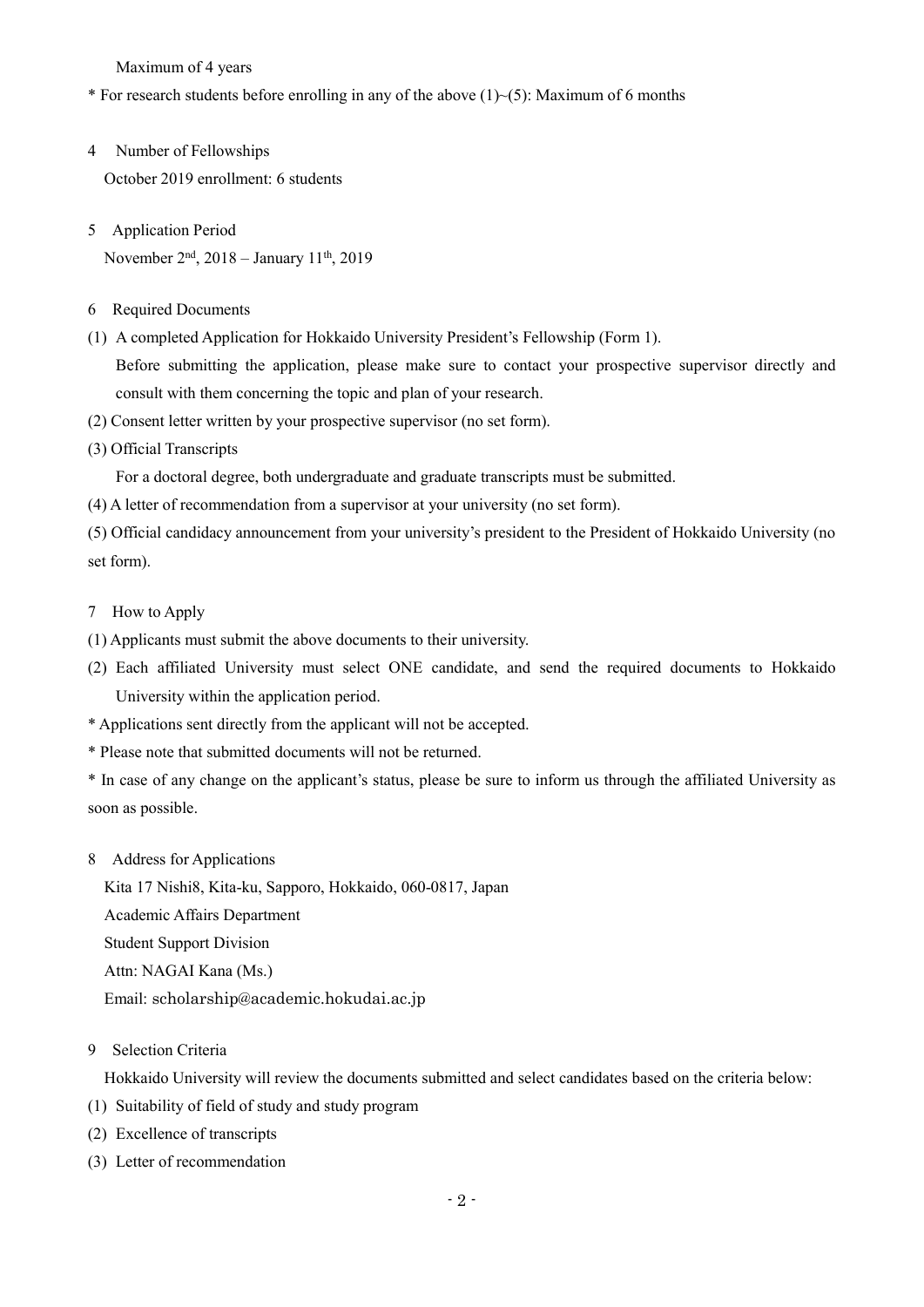Maximum of 4 years

\* For research students before enrolling in any of the above  $(1)$   $\sim$  (5): Maximum of 6 months

- 4 Number of Fellowships October 2019 enrollment: 6 students
- 5 Application Period November 2nd, 2018 – January 11th, 2019
- 6 Required Documents
- (1) A completed Application for Hokkaido University President's Fellowship (Form 1). Before submitting the application, please make sure to contact your prospective supervisor directly and consult with them concerning the topic and plan of your research.
- (2) Consent letter written by your prospective supervisor (no set form).
- (3) Official Transcripts

For a doctoral degree, both undergraduate and graduate transcripts must be submitted.

(4) A letter of recommendation from a supervisor at your university (no set form).

(5) Official candidacy announcement from your university's president to the President of Hokkaido University (no set form).

- 7 How to Apply
- (1) Applicants must submit the above documents to their university.
- (2) Each affiliated University must select ONE candidate, and send the required documents to Hokkaido University within the application period.
- \* Applications sent directly from the applicant will not be accepted.
- \* Please note that submitted documents will not be returned.
- \* In case of any change on the applicant's status, please be sure to inform us through the affiliated University as soon as possible.
- 8 Address for Applications

Kita 17 Nishi8, Kita-ku, Sapporo, Hokkaido, 060-0817, Japan Academic Affairs Department Student Support Division Attn: NAGAI Kana (Ms.) Email: scholarship@academic.hokudai.ac.jp

9 Selection Criteria

Hokkaido University will review the documents submitted and select candidates based on the criteria below:

- (1) Suitability of field of study and study program
- (2) Excellence of transcripts
- (3) Letter of recommendation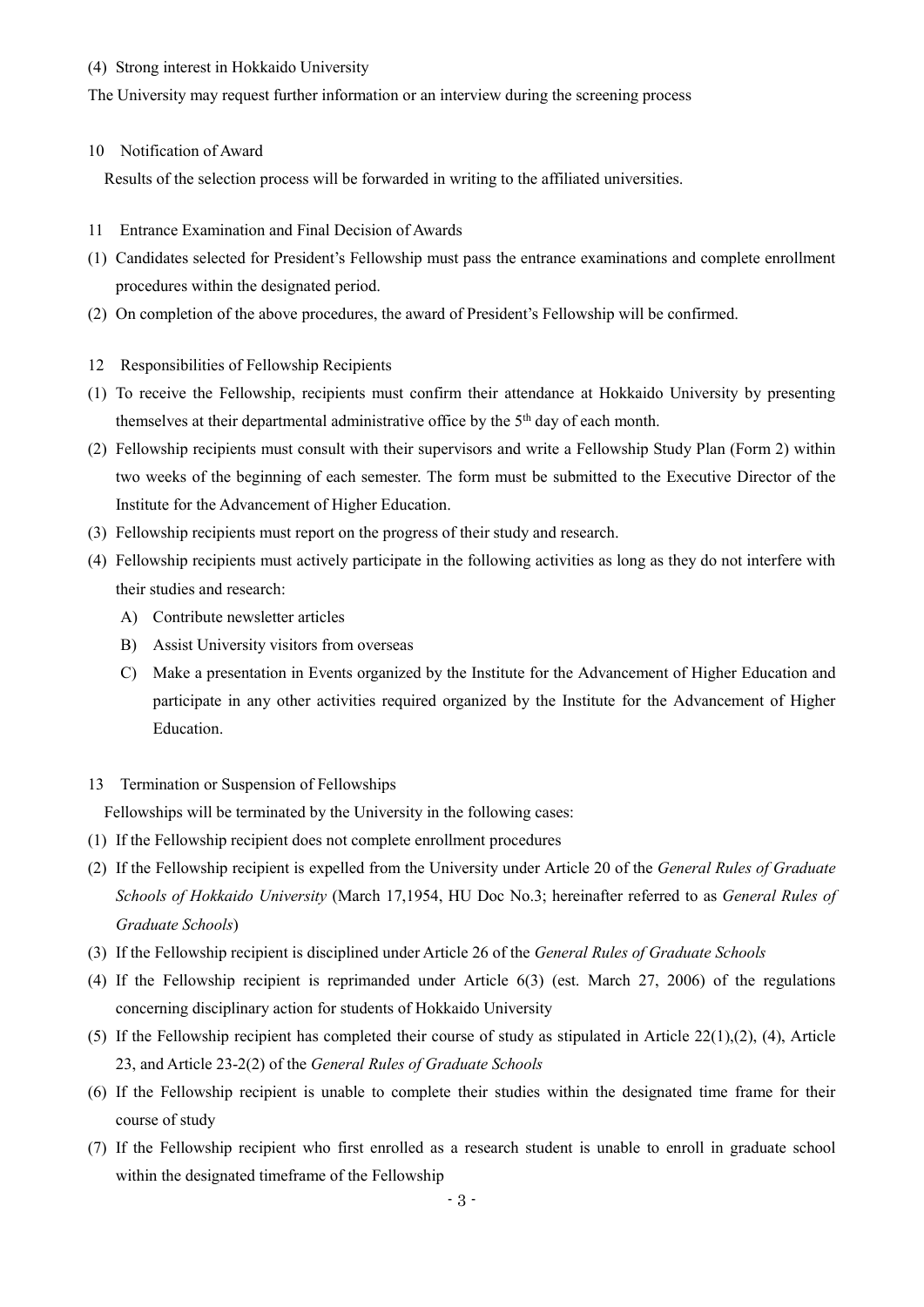#### (4) Strong interest in Hokkaido University

The University may request further information or an interview during the screening process

### 10 Notification of Award

Results of the selection process will be forwarded in writing to the affiliated universities.

- 11 Entrance Examination and Final Decision of Awards
- (1) Candidates selected for President's Fellowship must pass the entrance examinations and complete enrollment procedures within the designated period.
- (2) On completion of the above procedures, the award of President's Fellowship will be confirmed.
- 12 Responsibilities of Fellowship Recipients
- (1) To receive the Fellowship, recipients must confirm their attendance at Hokkaido University by presenting themselves at their departmental administrative office by the  $5<sup>th</sup>$  day of each month.
- (2) Fellowship recipients must consult with their supervisors and write a Fellowship Study Plan (Form 2) within two weeks of the beginning of each semester. The form must be submitted to the Executive Director of the Institute for the Advancement of Higher Education.
- (3) Fellowship recipients must report on the progress of their study and research.
- (4) Fellowship recipients must actively participate in the following activities as long as they do not interfere with their studies and research:
	- A) Contribute newsletter articles
	- B) Assist University visitors from overseas
	- C) Make a presentation in Events organized by the Institute for the Advancement of Higher Education and participate in any other activities required organized by the Institute for the Advancement of Higher Education.
- 13 Termination or Suspension of Fellowships

Fellowships will be terminated by the University in the following cases:

- (1) If the Fellowship recipient does not complete enrollment procedures
- (2) If the Fellowship recipient is expelled from the University under Article 20 of the *General Rules of Graduate Schools of Hokkaido University* (March 17,1954, HU Doc No.3; hereinafter referred to as *General Rules of Graduate Schools*)
- (3) If the Fellowship recipient is disciplined under Article 26 of the *General Rules of Graduate Schools*
- (4) If the Fellowship recipient is reprimanded under Article 6(3) (est. March 27, 2006) of the regulations concerning disciplinary action for students of Hokkaido University
- (5) If the Fellowship recipient has completed their course of study as stipulated in Article  $22(1)$ ,  $(2)$ ,  $(4)$ , Article 23, and Article 23-2(2) of the *General Rules of Graduate Schools*
- (6) If the Fellowship recipient is unable to complete their studies within the designated time frame for their course of study
- (7) If the Fellowship recipient who first enrolled as a research student is unable to enroll in graduate school within the designated timeframe of the Fellowship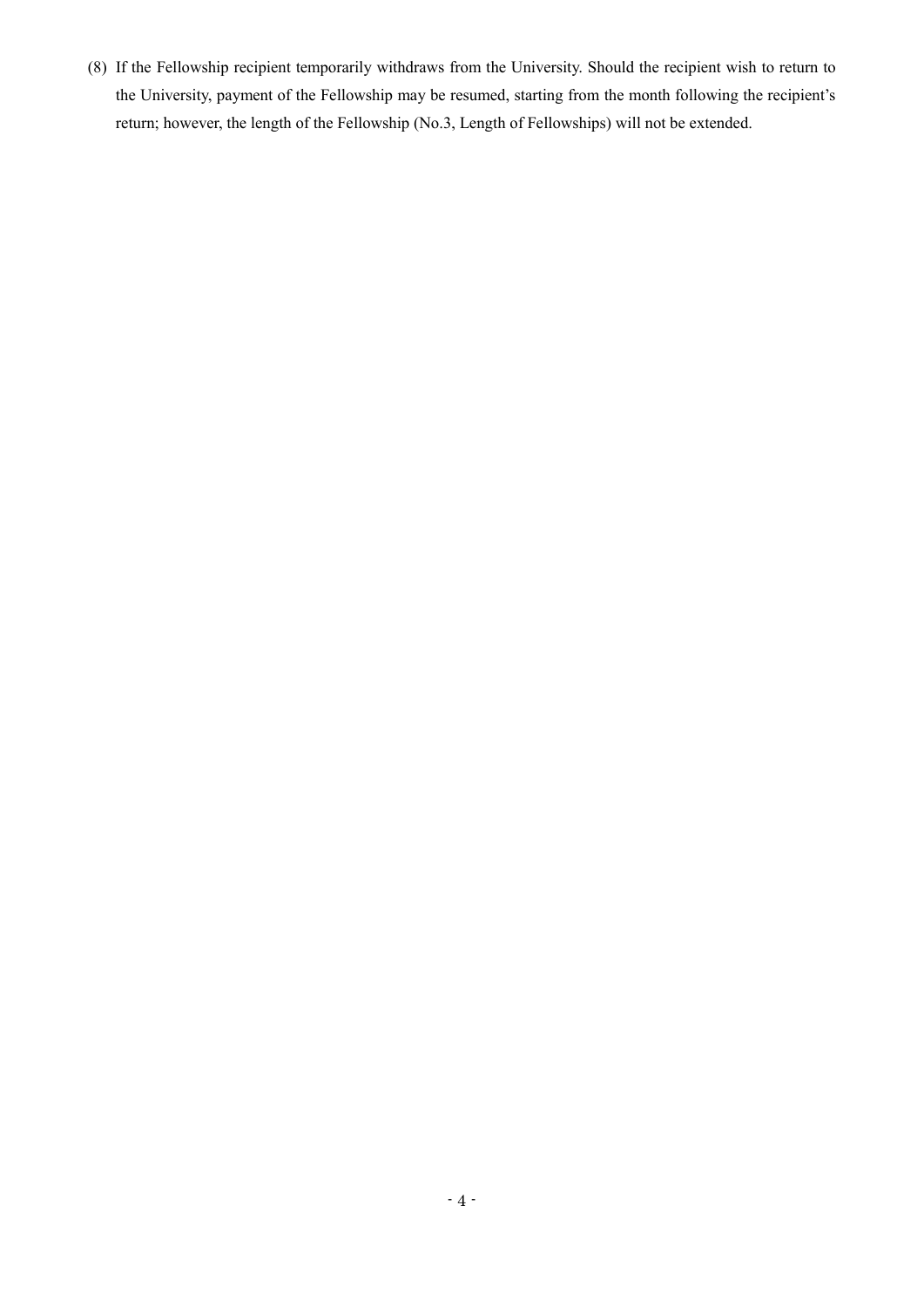(8) If the Fellowship recipient temporarily withdraws from the University. Should the recipient wish to return to the University, payment of the Fellowship may be resumed, starting from the month following the recipient's return; however, the length of the Fellowship (No.3, Length of Fellowships) will not be extended.